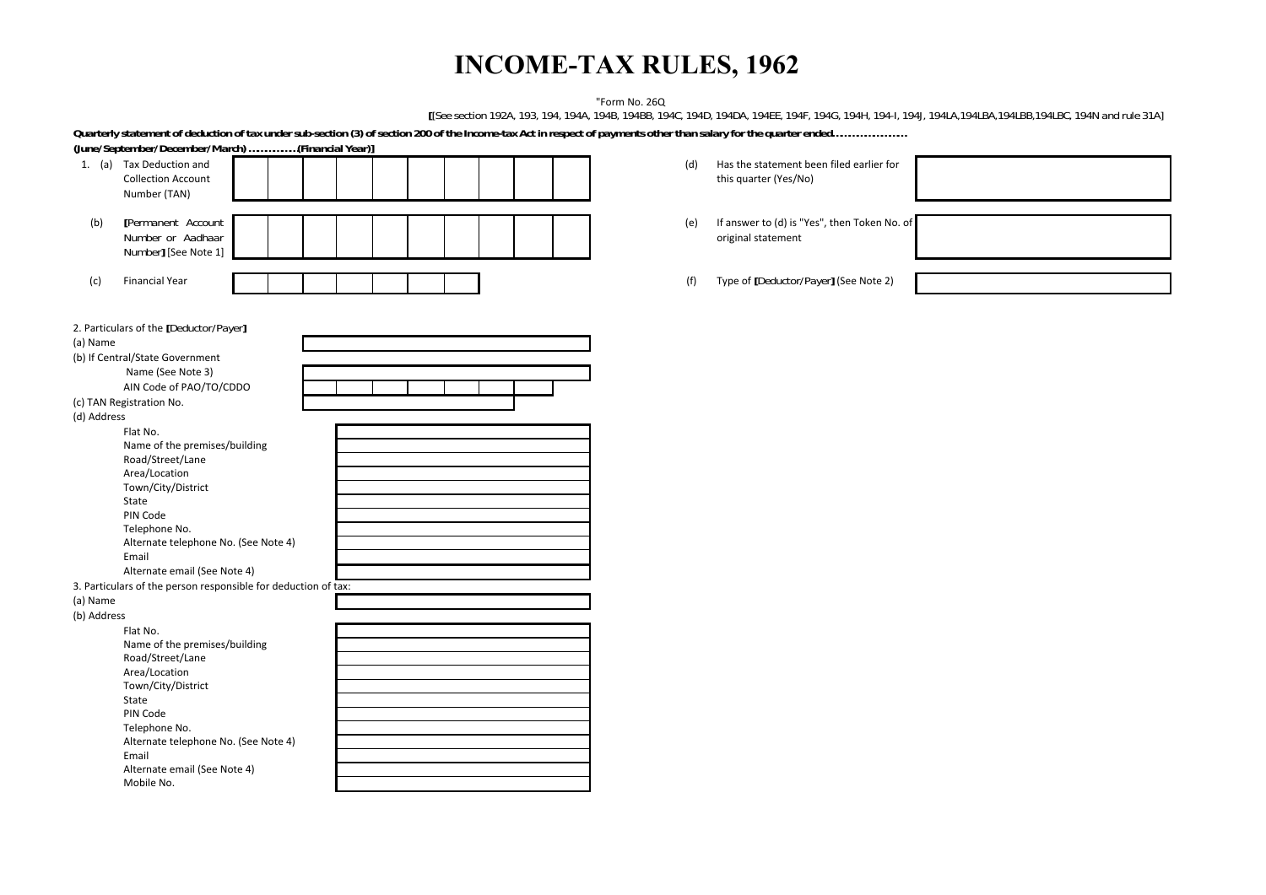# **INCOME-TAX RULES, 1962**

"Form No. 26Q

**[***[See section 192A, 193, 194, 194A, 194B, 194BB, 194C, 194D, 194DA, 194EE, 194F, 194G, 194H, 194-I, 194J, 194LA,194LBA,194LBB,194LBC, 194N and rule 31A]*

*Quarterly statement of deduction of tax under sub-section (3) of section 200 of the Income-tax Act in respect of payments other than salary for the quarter ended………………………*

| (June/September/December/March) (Financial Year)]              |                                                     |
|----------------------------------------------------------------|-----------------------------------------------------|
| 1. (a) Tax Deduction and                                       | Has the statement been filed earlier for<br>(d)     |
| <b>Collection Account</b>                                      | this quarter (Yes/No)                               |
| Number (TAN)                                                   |                                                     |
|                                                                |                                                     |
| [Permanent Account                                             |                                                     |
| (b)                                                            | If answer to (d) is "Yes", then Token No. of<br>(e) |
| Number or Aadhaar                                              | original statement                                  |
| Number] [See Note 1]                                           |                                                     |
|                                                                |                                                     |
| <b>Financial Year</b><br>(c)                                   | Type of [Deductor/Payer] (See Note 2)<br>(f)        |
|                                                                |                                                     |
|                                                                |                                                     |
| 2. Particulars of the [Deductor/Payer]                         |                                                     |
| (a) Name                                                       |                                                     |
|                                                                |                                                     |
| (b) If Central/State Government                                |                                                     |
| Name (See Note 3)                                              |                                                     |
| AIN Code of PAO/TO/CDDO                                        |                                                     |
| (c) TAN Registration No.                                       |                                                     |
| (d) Address                                                    |                                                     |
| Flat No.                                                       |                                                     |
| Name of the premises/building                                  |                                                     |
| Road/Street/Lane                                               |                                                     |
| Area/Location                                                  |                                                     |
| Town/City/District                                             |                                                     |
| State                                                          |                                                     |
| PIN Code                                                       |                                                     |
| Telephone No.                                                  |                                                     |
| Alternate telephone No. (See Note 4)                           |                                                     |
| Email                                                          |                                                     |
| Alternate email (See Note 4)                                   |                                                     |
| 3. Particulars of the person responsible for deduction of tax: |                                                     |
| (a) Name                                                       |                                                     |
|                                                                |                                                     |
| (b) Address                                                    |                                                     |
| Flat No.                                                       |                                                     |
| Name of the premises/building                                  |                                                     |
| Road/Street/Lane                                               |                                                     |
| Area/Location                                                  |                                                     |
| Town/City/District                                             |                                                     |
| State                                                          |                                                     |
| PIN Code                                                       |                                                     |
| Telephone No.                                                  |                                                     |
| Alternate telephone No. (See Note 4)                           |                                                     |
| Email                                                          |                                                     |
| Alternate email (See Note 4)                                   |                                                     |
| Mobile No.                                                     |                                                     |
|                                                                |                                                     |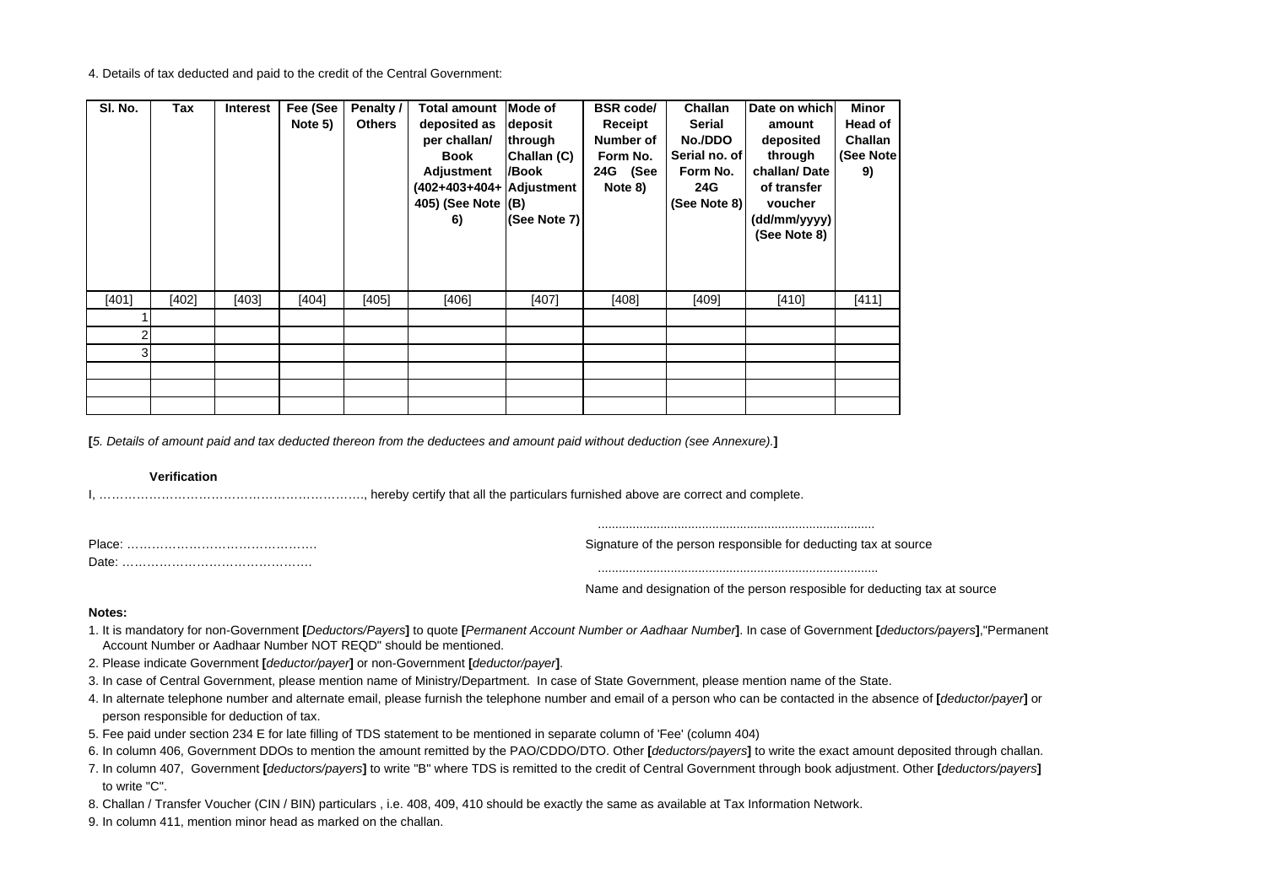#### 4. Details of tax deducted and paid to the credit of the Central Government:

| SI. No. | Tax   | <b>Interest</b> | Fee (See<br>Note 5) | Penalty /<br><b>Others</b> | <b>Total amount</b><br>deposited as<br>per challan/<br>Book<br>Adjustment<br>(402+403+404+ Adjustment<br>405) (See Note $ (B)$<br>6) | <b>Mode of</b><br>deposit<br>through<br>Challan (C)<br>/Book<br>(See Note 7) | <b>BSR</b> code/<br>Receipt<br>Number of<br>Form No.<br>24G (See<br>Note 8) | Challan<br>Serial<br>No./DDO<br>Serial no. of<br>Form No.<br>24G<br>(See Note 8) | Date on which<br>amount<br>deposited<br>through<br>challan/Date<br>of transfer<br>voucher<br>(dd/mm/yyyy)<br>(See Note 8) | Minor<br>Head of<br>Challan<br>(See Note<br>9) |
|---------|-------|-----------------|---------------------|----------------------------|--------------------------------------------------------------------------------------------------------------------------------------|------------------------------------------------------------------------------|-----------------------------------------------------------------------------|----------------------------------------------------------------------------------|---------------------------------------------------------------------------------------------------------------------------|------------------------------------------------|
| [401]   | [402] | [403]           | [404]               | [405]                      | [406]                                                                                                                                | [407]                                                                        | [408]                                                                       | [409]                                                                            | [410]                                                                                                                     | [411]                                          |
|         |       |                 |                     |                            |                                                                                                                                      |                                                                              |                                                                             |                                                                                  |                                                                                                                           |                                                |
|         |       |                 |                     |                            |                                                                                                                                      |                                                                              |                                                                             |                                                                                  |                                                                                                                           |                                                |
| 3       |       |                 |                     |                            |                                                                                                                                      |                                                                              |                                                                             |                                                                                  |                                                                                                                           |                                                |
|         |       |                 |                     |                            |                                                                                                                                      |                                                                              |                                                                             |                                                                                  |                                                                                                                           |                                                |
|         |       |                 |                     |                            |                                                                                                                                      |                                                                              |                                                                             |                                                                                  |                                                                                                                           |                                                |
|         |       |                 |                     |                            |                                                                                                                                      |                                                                              |                                                                             |                                                                                  |                                                                                                                           |                                                |

**[***5. Details of amount paid and tax deducted thereon from the deductees and amount paid without deduction (see Annexure).***]**

#### **Verification**

I, ………………………………………………………., hereby certify that all the particulars furnished above are correct and complete.

| Place. | Signature of the person responsible for deducting tax at source |
|--------|-----------------------------------------------------------------|
| Date   |                                                                 |
|        |                                                                 |
|        | . .                                                             |

Name and designation of the person resposible for deducting tax at source

................................................................................

### **Notes:**

- 1. It is mandatory for non-Government [Deductors/Payers] to quote [Permanent Account Number or Aadhaar Number]. In case of Government [deductors/payers],"Permanent Account Number or Aadhaar Number NOT REQD" should be mentioned.
- 2. Please indicate Government **[***deductor/payer***]** or non-Government **[***deductor/payer***]**.
- 3. In case of Central Government, please mention name of Ministry/Department. In case of State Government, please mention name of the State.
- 4. In alternate telephone number and alternate email, please furnish the telephone number and email of a person who can be contacted in the absence of **[***deductor/payer***]** or person responsible for deduction of tax.
- 5. Fee paid under section 234 E for late filling of TDS statement to be mentioned in separate column of 'Fee' (column 404)
- 6. In column 406, Government DDOs to mention the amount remitted by the PAO/CDDO/DTO. Other **[***deductors/payers***]** to write the exact amount deposited through challan.
- 7. In column 407, Government **[***deductors/payers***]** to write "B" where TDS is remitted to the credit of Central Government through book adjustment. Other **[***deductors/payers***]** to write "C".
- 8. Challan / Transfer Voucher (CIN / BIN) particulars , i.e. 408, 409, 410 should be exactly the same as available at Tax Information Network.
- 9. In column 411, mention minor head as marked on the challan.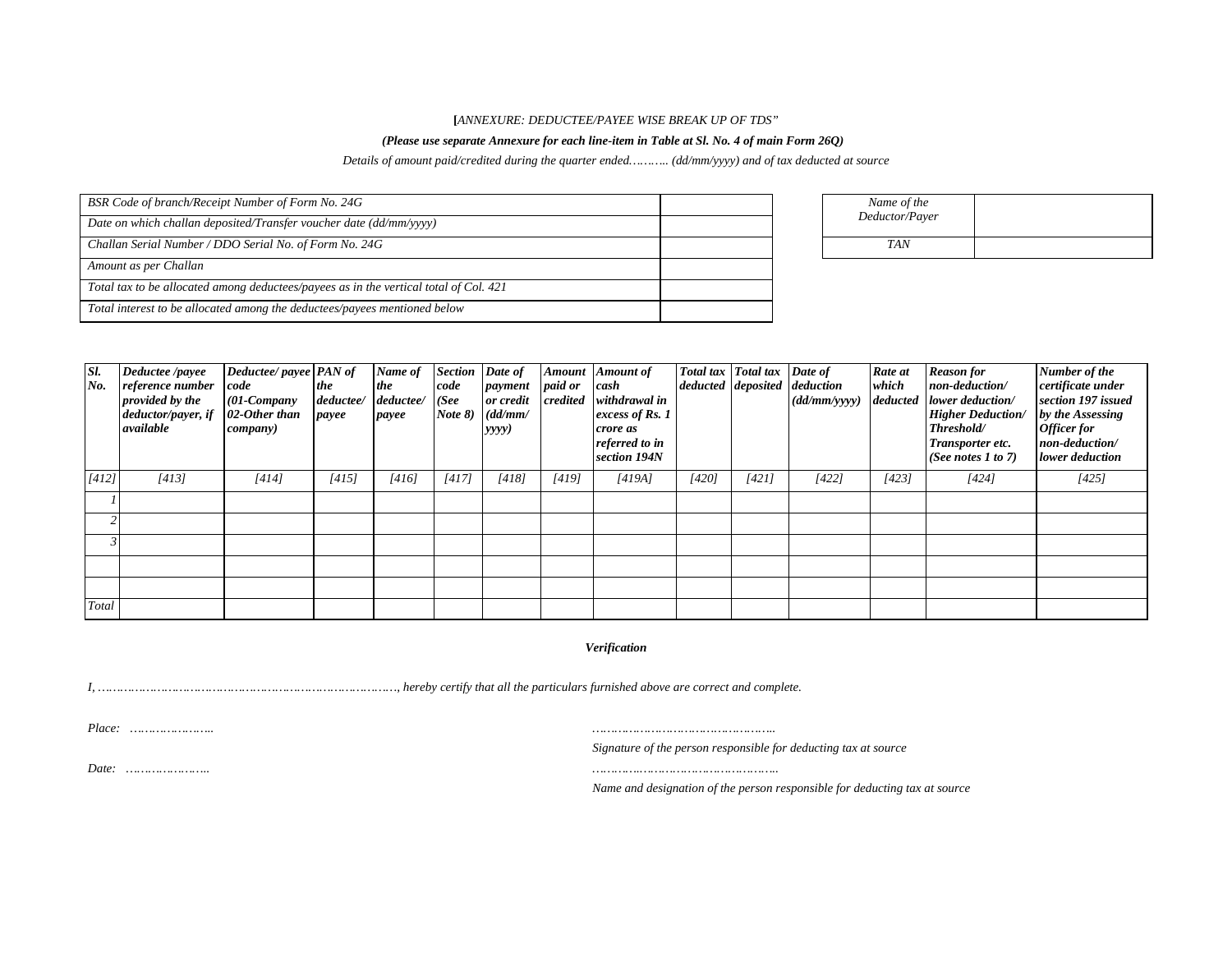#### **[***ANNEXURE: DEDUCTEE/PAYEE WISE BREAK UP OF TDS"*

## *(Please use separate Annexure for each line-item in Table at Sl. No. 4 of main Form 26Q)*

*Details of amount paid/credited during the quarter ended……….. (dd/mm/yyyy) and of tax deducted at source*

| BSR Code of branch/Receipt Number of Form No. 24G                                     | Name of the |                |  |
|---------------------------------------------------------------------------------------|-------------|----------------|--|
| Date on which challan deposited/Transfer voucher date (dd/mm/yyyy)                    |             | Deductor/Payer |  |
| Challan Serial Number / DDO Serial No. of Form No. 24G                                |             | <b>TAN</b>     |  |
| Amount as per Challan                                                                 |             |                |  |
| Total tax to be allocated among deductees/payees as in the vertical total of Col. 421 |             |                |  |
| Total interest to be allocated among the deductees/payees mentioned below             |             |                |  |

| Sl.<br>No. | Deductee /payee<br>reference number<br>provided by the<br>deductor/payer, if<br>available | Deductee/payee PAN of<br>code<br>$(01$ -Company<br>02-Other than<br>$\mathit{company}$ ) | the<br>deductee/<br>payee | Name of<br>the<br>deductee/<br>payee | Section Date of<br>code<br>(See<br>Note 8) | payment<br>or credit<br>(dd/mm/<br>yyyy) | paid or<br>credited | Amount Amount of<br>cash<br>withdrawal in<br>excess of Rs. 1<br>crore as<br>referred to in<br>section 194N |       | Total tax   Total tax   Date of<br>deducted deposited deduction | (dd/mm/yyyy) | Rate at<br>which<br><i>deducted</i> | <b>Reason</b> for<br>non-deduction/<br>lower deduction/<br><b>Higher Deduction/</b><br>Threshold/<br>Transporter etc.<br>(See notes 1 to 7) | Number of the<br>certificate under<br>section 197 issued<br>by the Assessing<br>Officer for<br>non-deduction/<br>lower deduction |
|------------|-------------------------------------------------------------------------------------------|------------------------------------------------------------------------------------------|---------------------------|--------------------------------------|--------------------------------------------|------------------------------------------|---------------------|------------------------------------------------------------------------------------------------------------|-------|-----------------------------------------------------------------|--------------|-------------------------------------|---------------------------------------------------------------------------------------------------------------------------------------------|----------------------------------------------------------------------------------------------------------------------------------|
| [412]      | [413]                                                                                     | [414]                                                                                    | [415]                     | [416]                                | [417]                                      | [418]                                    | [419]               | [419A]                                                                                                     | [420] | [421]                                                           | [422]        | [423]                               | [424]                                                                                                                                       | [425]                                                                                                                            |
|            |                                                                                           |                                                                                          |                           |                                      |                                            |                                          |                     |                                                                                                            |       |                                                                 |              |                                     |                                                                                                                                             |                                                                                                                                  |
|            |                                                                                           |                                                                                          |                           |                                      |                                            |                                          |                     |                                                                                                            |       |                                                                 |              |                                     |                                                                                                                                             |                                                                                                                                  |
|            |                                                                                           |                                                                                          |                           |                                      |                                            |                                          |                     |                                                                                                            |       |                                                                 |              |                                     |                                                                                                                                             |                                                                                                                                  |
|            |                                                                                           |                                                                                          |                           |                                      |                                            |                                          |                     |                                                                                                            |       |                                                                 |              |                                     |                                                                                                                                             |                                                                                                                                  |
|            |                                                                                           |                                                                                          |                           |                                      |                                            |                                          |                     |                                                                                                            |       |                                                                 |              |                                     |                                                                                                                                             |                                                                                                                                  |
| Total      |                                                                                           |                                                                                          |                           |                                      |                                            |                                          |                     |                                                                                                            |       |                                                                 |              |                                     |                                                                                                                                             |                                                                                                                                  |

## *Verification*

*I, ………………………………………………………………………, hereby certify that all the particulars furnished above are correct and complete.*

*Place: ………………….. …………………………………………..*

*Signature of the person responsible for deducting tax at source* 

*Date: ………………….. ………….………………………………..*

*Name and designation of the person responsible for deducting tax at source*